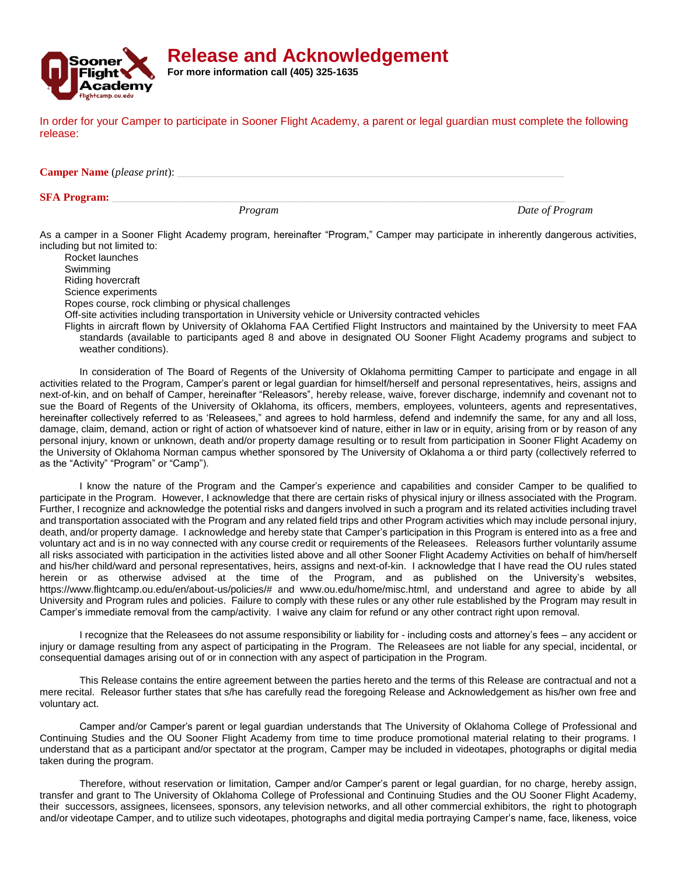

**Release and Acknowledgement**

**For more information call (405) 325-1635**

In order for your Camper to participate in Sooner Flight Academy, a parent or legal guardian must complete the following release:

**Camper Name** (*please print*):

## **SFA Program:**

*Program Date of Program*

As a camper in a Sooner Flight Academy program, hereinafter "Program," Camper may participate in inherently dangerous activities, including but not limited to:

Rocket launches Swimming Riding hovercraft Science experiments Ropes course, rock climbing or physical challenges Off-site activities including transportation in University vehicle or University contracted vehicles

Flights in aircraft flown by University of Oklahoma FAA Certified Flight Instructors and maintained by the University to meet FAA standards (available to participants aged 8 and above in designated OU Sooner Flight Academy programs and subject to weather conditions).

In consideration of The Board of Regents of the University of Oklahoma permitting Camper to participate and engage in all activities related to the Program, Camper's parent or legal guardian for himself/herself and personal representatives, heirs, assigns and next-of-kin, and on behalf of Camper, hereinafter "Releasors", hereby release, waive, forever discharge, indemnify and covenant not to sue the Board of Regents of the University of Oklahoma, its officers, members, employees, volunteers, agents and representatives, hereinafter collectively referred to as 'Releasees," and agrees to hold harmless, defend and indemnify the same, for any and all loss, damage, claim, demand, action or right of action of whatsoever kind of nature, either in law or in equity, arising from or by reason of any personal injury, known or unknown, death and/or property damage resulting or to result from participation in Sooner Flight Academy on the University of Oklahoma Norman campus whether sponsored by The University of Oklahoma a or third party (collectively referred to as the "Activity" "Program" or "Camp").

I know the nature of the Program and the Camper's experience and capabilities and consider Camper to be qualified to participate in the Program. However, I acknowledge that there are certain risks of physical injury or illness associated with the Program. Further, I recognize and acknowledge the potential risks and dangers involved in such a program and its related activities including travel and transportation associated with the Program and any related field trips and other Program activities which may include personal injury, death, and/or property damage. I acknowledge and hereby state that Camper's participation in this Program is entered into as a free and voluntary act and is in no way connected with any course credit or requirements of the Releasees. Releasors further voluntarily assume all risks associated with participation in the activities listed above and all other Sooner Flight Academy Activities on behalf of him/herself and his/her child/ward and personal representatives, heirs, assigns and next-of-kin. I acknowledge that I have read the OU rules stated herein or as otherwise advised at the time of the Program, and as published on the University's websites, https://www.flightcamp.ou.edu/en/about-us/policies/# and www.ou.edu/home/misc.html, and understand and agree to abide by all University and Program rules and policies. Failure to comply with these rules or any other rule established by the Program may result in Camper's immediate removal from the camp/activity. I waive any claim for refund or any other contract right upon removal.

I recognize that the Releasees do not assume responsibility or liability for - including costs and attorney's fees – any accident or injury or damage resulting from any aspect of participating in the Program. The Releasees are not liable for any special, incidental, or consequential damages arising out of or in connection with any aspect of participation in the Program.

This Release contains the entire agreement between the parties hereto and the terms of this Release are contractual and not a mere recital. Releasor further states that s/he has carefully read the foregoing Release and Acknowledgement as his/her own free and voluntary act.

Camper and/or Camper's parent or legal guardian understands that The University of Oklahoma College of Professional and Continuing Studies and the OU Sooner Flight Academy from time to time produce promotional material relating to their programs. I understand that as a participant and/or spectator at the program, Camper may be included in videotapes, photographs or digital media taken during the program.

Therefore, without reservation or limitation, Camper and/or Camper's parent or legal guardian, for no charge, hereby assign, transfer and grant to The University of Oklahoma College of Professional and Continuing Studies and the OU Sooner Flight Academy, their successors, assignees, licensees, sponsors, any television networks, and all other commercial exhibitors, the right to photograph and/or videotape Camper, and to utilize such videotapes, photographs and digital media portraying Camper's name, face, likeness, voice